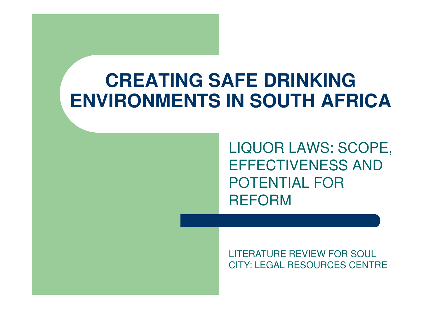### **CREATING SAFE DRINKINGENVIRONMENTS IN SOUTH AFRICA**

LIQUOR LAWS: SCOPE, EFFECTIVENESS AND POTENTIAL FOR REFORM

LITERATURE REVIEW FOR SOUL CITY: LEGAL RESOURCES CENTRE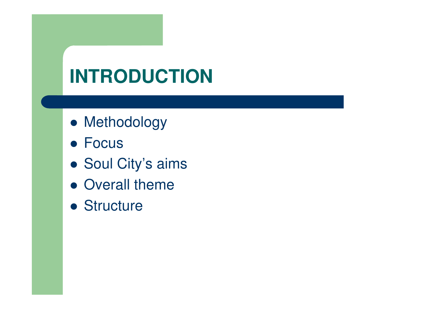## **INTRODUCTION**

- Methodology
- Focus
- Soul City's aims
- Overall theme
- Structure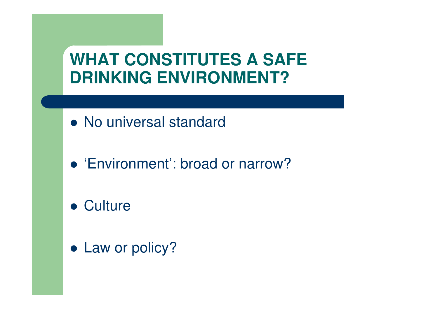#### **WHAT CONSTITUTES A SAFE DRINKING ENVIRONMENT?**

- No universal standard
- 'Environment': broad or narrow?
- Culture
- Law or policy?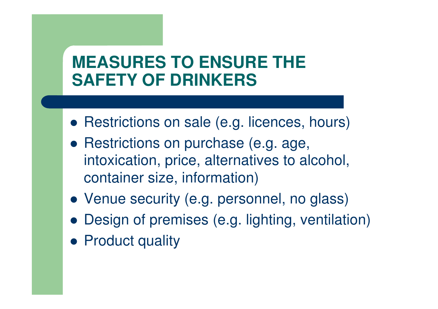#### **MEASURES TO ENSURE THESAFETY OF DRINKERS**

- Restrictions on sale (e.g. licences, hours)
- **Restrictions on purchase (e.g. age,** intoxication, price, alternatives to alcohol, container size, information)
- Venue security (e.g. personnel, no glass)
- Design of premises (e.g. lighting, ventilation)
- Product quality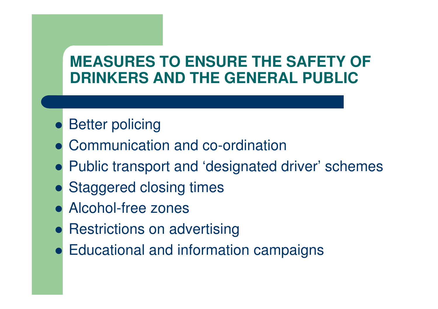#### **MEASURES TO ENSURE THE SAFETY OF DRINKERS AND THE GENERAL PUBLIC**

- **Better policing**
- Communication and co-ordination
- Public transport and 'designated driver' schemes
- Staggered closing times
- Alcohol-free zones
- Restrictions on advertising
- Educational and information campaigns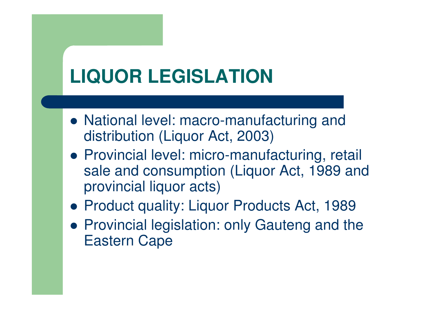## **LIQUOR LEGISLATION**

- National level: macro-manufacturing and distribution (Liquor Act, 2003)
- Provincial level: micro -manufacturing, retail sale and consumption (Liquor Act, 1989 and provincial liquor acts)
- **Product quality: Liquor Products Act, 1989**
- Provincial legislation: only Gauteng and the Eastern Cape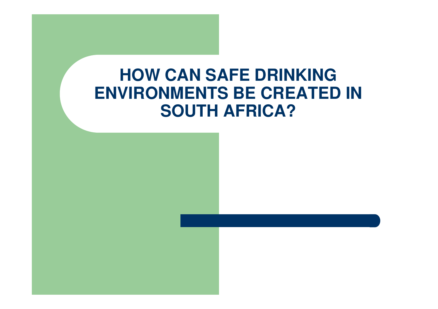#### **HOW CAN SAFE DRINKING ENVIRONMENTS BE CREATED IN SOUTH AFRICA?**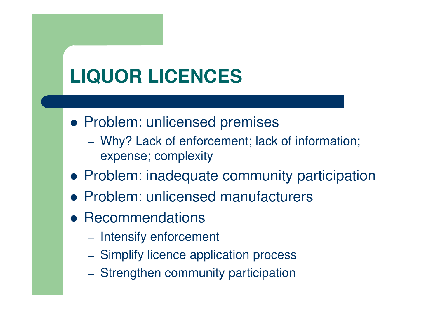# **LIQUOR LICENCES**

- Problem: unlicensed premises
	- Why? Lack of enforcement; lack of information; expense; complexity
- Problem: inadequate community participation
- Problem: unlicensed manufacturers
- **Recommendations** 
	- Intensify enforcement
	- Simplify licence application process
	- Strengthen community participation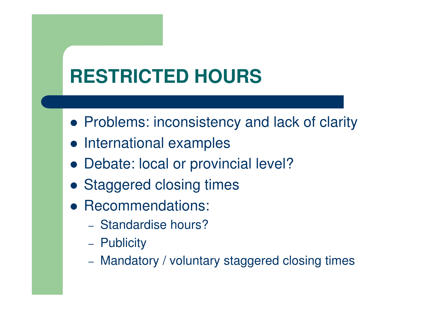# **RESTRICTED HOURS**

- **Problems: inconsistency and lack of clarity**
- International examples
- Debate: local or provincial level?
- Staggered closing times
- Recommendations:
	- Standardise hours?
	- Publicity
	- Mandatory / voluntary staggered closing times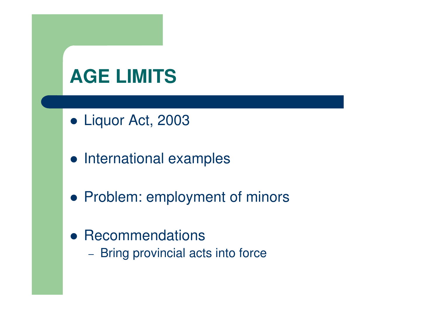### **AGE LIMITS**

- Liquor Act, 2003
- International examples
- Problem: employment of minors
- **Recommendations** 
	- Bring provincial acts into force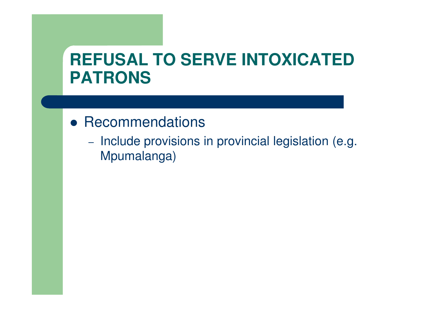#### **REFUSAL TO SERVE INTOXICATED PATRONS**

- **Recommendations** 
	- Include provisions in provincial legislation (e.g. Mpumalanga)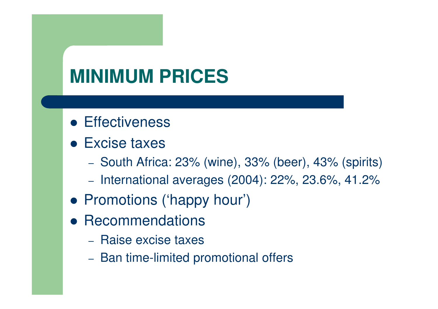### **MINIMUM PRICES**

- **Effectiveness**
- Excise taxes
	- South Africa: 23% (wine), 33% (beer), 43% (spirits)
	- International averages (2004): 22%, 23.6%, 41.2%
- Promotions ('happy hour')
- **Recommendations** 
	- Raise excise taxes
	- Ban time-limited promotional offers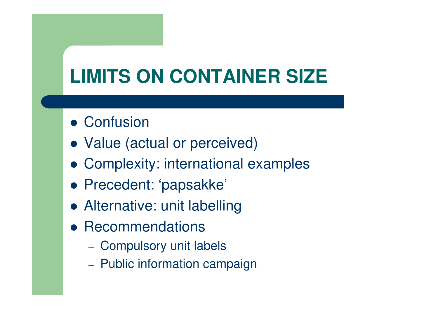# **LIMITS ON CONTAINER SIZE**

- **Confusion**
- Value (actual or perceived)
- Complexity: international examples
- Precedent: 'papsakke'
- Alternative: unit labelling
- **Recommendations** 
	- Compulsory unit labels
	- Public information campaign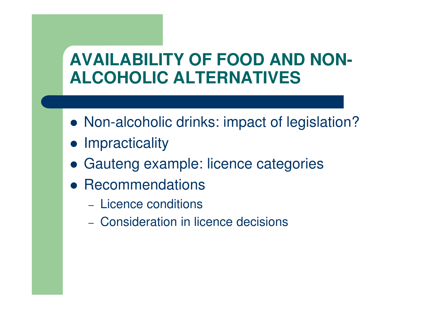#### **AVAILABILITY OF FOOD AND NON-ALCOHOLIC ALTERNATIVES**

- Non-alcoholic drinks: impact of legislation?
- **•** Impracticality
- Gauteng example: licence categories
- **Recommendations** 
	- Licence conditions
	- Consideration in licence decisions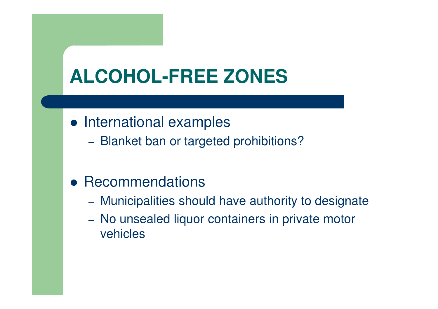## **ALCOHOL-FREE ZONES**

- International examples
	- Blanket ban or targeted prohibitions?

### **• Recommendations**

- Municipalities should have authority to designate
- No unsealed liquor containers in private motor vehicles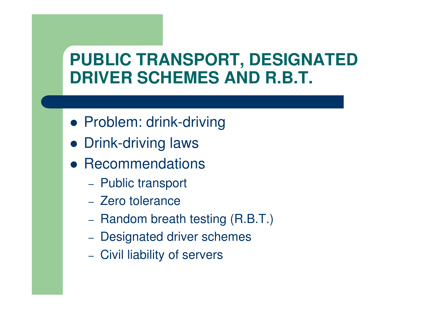### **PUBLIC TRANSPORT, DESIGNATED DRIVER SCHEMES AND R.B.T.**

- Problem: drink-driving
- Drink-driving laws
- **Recommendations** 
	- Public transport
	- Zero tolerance
	- Random breath testing (R.B.T.)
	- Designated driver schemes
	- Civil liability of servers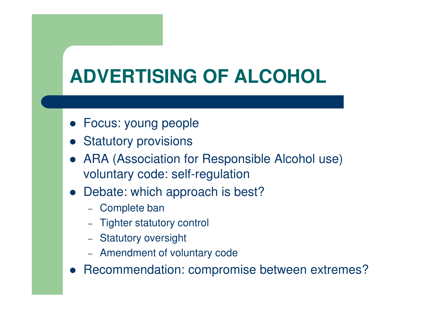# **ADVERTISING OF ALCOHOL**

- Focus: young people
- **•** Statutory provisions
- ARA (Association for Responsible Alcohol use) voluntary code: self-regulation
- Debate: which approach is best?
	- Complete ban
	- Tighter statutory control
	- Statutory oversight
	- Amendment of voluntary code
- $\bullet$ Recommendation: compromise between extremes?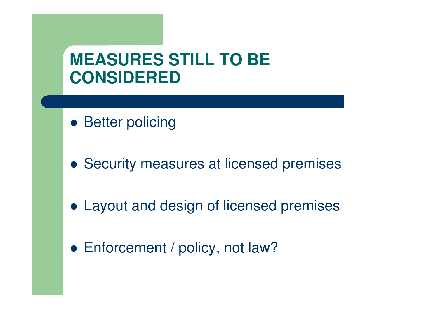#### **MEASURES STILL TO BE CONSIDERED**

- **Better policing**
- **Security measures at licensed premises**
- Layout and design of licensed premises
- Enforcement / policy, not law?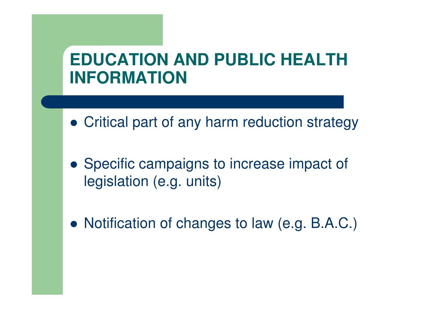### **EDUCATION AND PUBLIC HEALTH INFORMATION**

- Critical part of any harm reduction strategy
- Specific campaigns to increase impact of legislation (e.g. units)
- Notification of changes to law (e.g. B.A.C.)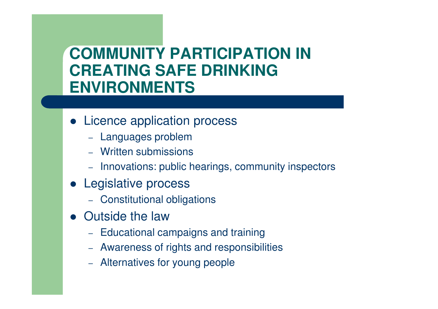#### **COMMUNITY PARTICIPATION IN CREATING SAFE DRINKING ENVIRONMENTS**

- Licence application process
	- Languages problem
	- Written suhmissioi Written submissions
	- Innovations: public hearings, community inspectors
- **•** Legislative process
	- Constitutional obligations
- Outside the law
	- Fducational c  $-$  Educational campaigns and training
	- Awareness of rights and responsibilities
	- Alternatives for young people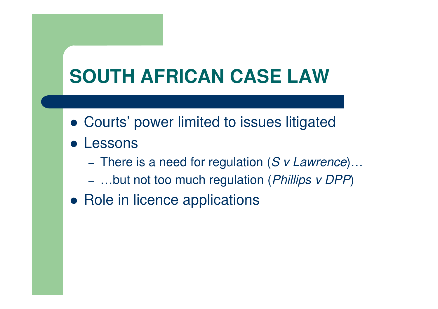## **SOUTH AFRICAN CASE LAW**

- Courts' power limited to issues litigated
- Lessons
	- $-$  There is a need for regulation (S v Lawrence)...
	- – biji noj joo much requisijon i P*hillins V i JPP* – …but not too much regulation (*Phillips v DPP*)
- Role in licence applications